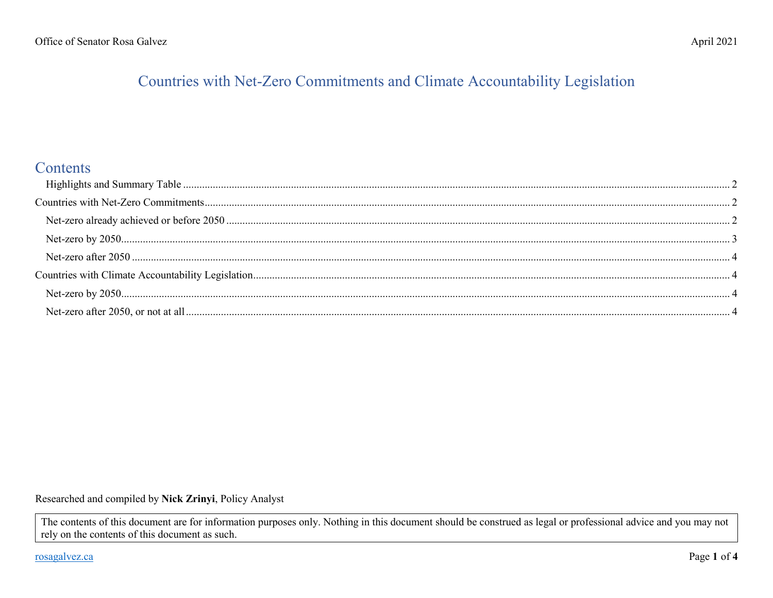# Countries with Net-Zero Commitments and Climate Accountability Legislation

## Contents

Researched and compiled by Nick Zrinyi, Policy Analyst

The contents of this document are for information purposes only. Nothing in this document should be construed as legal or professional advice and you may not rely on the contents of this document as such.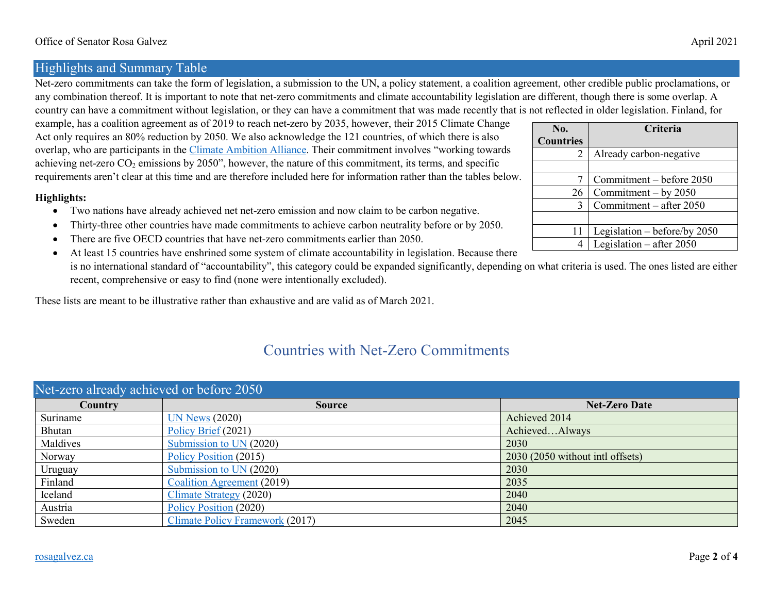## <span id="page-1-0"></span>Highlights and Summary Table

Net-zero commitments can take the form of legislation, a submission to the UN, a policy statement, a coalition agreement, other credible public proclamations, or any combination thereof. It is important to note that net-zero commitments and climate accountability legislation are different, though there is some overlap. A country can have a commitment without legislation, or they can have a commitment that was made recently that is not reflected in older legislation. Finland, for

example, has a coalition agreement as of 2019 to reach net-zero by 2035, however, their 2015 Climate Change Act only requires an 80% reduction by 2050. We also acknowledge the 121 countries, of which there is also overlap, who are participants in the *Climate Ambition Alliance*. Their commitment involves "working towards achieving net-zero CO<sub>2</sub> emissions by 2050", however, the nature of this commitment, its terms, and specific requirements aren't clear at this time and are therefore included here for information rather than the tables below.

#### **Highlights:**

- Two nations have already achieved net net-zero emission and now claim to be carbon negative.
- Thirty-three other countries have made commitments to achieve carbon neutrality before or by 2050.
- There are five OECD countries that have net-zero commitments earlier than 2050.
- At least 15 countries have enshrined some system of climate accountability in legislation. Because there is no international standard of "accountability", this category could be expanded significantly, depending on what criteria is used. The ones listed are either recent, comprehensive or easy to find (none were intentionally excluded).

<span id="page-1-1"></span>These lists are meant to be illustrative rather than exhaustive and are valid as of March 2021.

## Countries with Net-Zero Commitments

<span id="page-1-2"></span>

| Net-zero already achieved or before 2050 |                                 |                                  |
|------------------------------------------|---------------------------------|----------------------------------|
| Country                                  | <b>Source</b>                   | <b>Net-Zero Date</b>             |
| Suriname                                 | <b>UN News (2020)</b>           | Achieved 2014                    |
| Bhutan                                   | Policy Brief (2021)             | AchievedAlways                   |
| Maldives                                 | Submission to UN (2020)         | 2030                             |
| Norway                                   | Policy Position (2015)          | 2030 (2050 without intl offsets) |
| Uruguay                                  | Submission to UN (2020)         | 2030                             |
| Finland                                  | Coalition Agreement (2019)      | 2035                             |
| Iceland                                  | Climate Strategy (2020)         | 2040                             |
| Austria                                  | Policy Position (2020)          | 2040                             |
| Sweden                                   | Climate Policy Framework (2017) | 2045                             |

| No.              | Criteria                       |
|------------------|--------------------------------|
| <b>Countries</b> |                                |
| 2                | Already carbon-negative        |
|                  |                                |
|                  | Commitment – before 2050       |
| 26               | Commitment - by 2050           |
| 3                | Commitment - after 2050        |
|                  |                                |
| 11               | Legislation – before/by $2050$ |
|                  | Legislation $-$ after 2050     |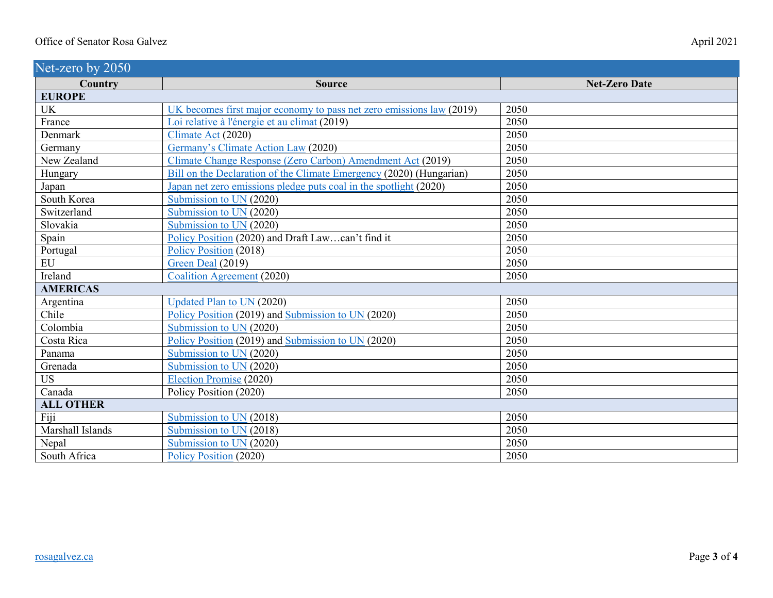<span id="page-2-0"></span>

| Net-zero by 2050 |                                                                      |                      |
|------------------|----------------------------------------------------------------------|----------------------|
| Country          | <b>Source</b>                                                        | <b>Net-Zero Date</b> |
| <b>EUROPE</b>    |                                                                      |                      |
| UK               | UK becomes first major economy to pass net zero emissions law (2019) | 2050                 |
| France           | Loi relative à l'énergie et au climat (2019)                         | 2050                 |
| Denmark          | Climate Act (2020)                                                   | 2050                 |
| Germany          | Germany's Climate Action Law (2020)                                  | 2050                 |
| New Zealand      | Climate Change Response (Zero Carbon) Amendment Act (2019)           | 2050                 |
| Hungary          | Bill on the Declaration of the Climate Emergency (2020) (Hungarian)  | 2050                 |
| Japan            | Japan net zero emissions pledge puts coal in the spotlight (2020)    | 2050                 |
| South Korea      | Submission to UN (2020)                                              | 2050                 |
| Switzerland      | Submission to UN (2020)                                              | 2050                 |
| Slovakia         | Submission to UN (2020)                                              | 2050                 |
| Spain            | Policy Position (2020) and Draft Lawcan't find it                    | 2050                 |
| Portugal         | Policy Position (2018)                                               | 2050                 |
| EU               | Green Deal (2019)                                                    | 2050                 |
| Ireland          | Coalition Agreement (2020)                                           | 2050                 |
| <b>AMERICAS</b>  |                                                                      |                      |
| Argentina        | <b>Updated Plan to UN (2020)</b>                                     | 2050                 |
| Chile            | Policy Position (2019) and Submission to UN (2020)                   | 2050                 |
| Colombia         | Submission to UN (2020)                                              | 2050                 |
| Costa Rica       | Policy Position (2019) and Submission to UN (2020)                   | 2050                 |
| Panama           | Submission to UN (2020)                                              | 2050                 |
| Grenada          | Submission to UN (2020)                                              | 2050                 |
| <b>US</b>        | Election Promise (2020)                                              | 2050                 |
| Canada           | Policy Position (2020)                                               | 2050                 |
| <b>ALL OTHER</b> |                                                                      |                      |
| Fiji             | Submission to UN (2018)                                              | 2050                 |
| Marshall Islands | Submission to UN (2018)                                              | 2050                 |
| Nepal            | Submission to UN (2020)                                              | 2050                 |
| South Africa     | Policy Position (2020)                                               | 2050                 |